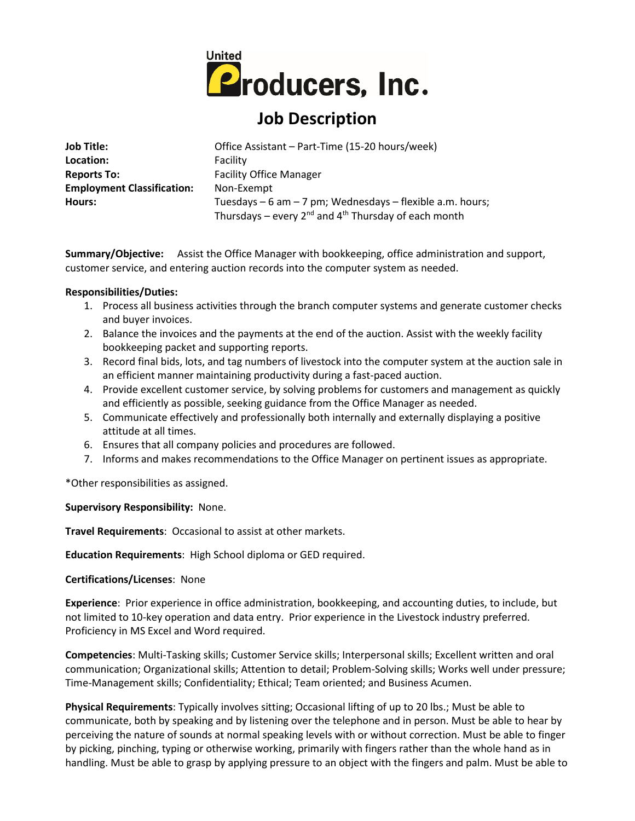

# **Job Description**

| <b>Job Title:</b>                 | Office Assistant - Part-Time (15-20 hours/week)                |
|-----------------------------------|----------------------------------------------------------------|
| Location:                         | Facility                                                       |
| <b>Reports To:</b>                | <b>Facility Office Manager</b>                                 |
| <b>Employment Classification:</b> | Non-Exempt                                                     |
| Hours:                            | Tuesdays – 6 am – 7 pm; Wednesdays – flexible a.m. hours;      |
|                                   | Thursdays – every $2^{nd}$ and $4^{th}$ Thursday of each month |

**Summary/Objective:** Assist the Office Manager with bookkeeping, office administration and support, customer service, and entering auction records into the computer system as needed.

## **Responsibilities/Duties:**

- 1. Process all business activities through the branch computer systems and generate customer checks and buyer invoices.
- 2. Balance the invoices and the payments at the end of the auction. Assist with the weekly facility bookkeeping packet and supporting reports.
- 3. Record final bids, lots, and tag numbers of livestock into the computer system at the auction sale in an efficient manner maintaining productivity during a fast-paced auction.
- 4. Provide excellent customer service, by solving problems for customers and management as quickly and efficiently as possible, seeking guidance from the Office Manager as needed.
- 5. Communicate effectively and professionally both internally and externally displaying a positive attitude at all times.
- 6. Ensures that all company policies and procedures are followed.
- 7. Informs and makes recommendations to the Office Manager on pertinent issues as appropriate.

\*Other responsibilities as assigned.

## **Supervisory Responsibility:** None.

**Travel Requirements**: Occasional to assist at other markets.

**Education Requirements**: High School diploma or GED required.

## **Certifications/Licenses**: None

**Experience**: Prior experience in office administration, bookkeeping, and accounting duties, to include, but not limited to 10-key operation and data entry. Prior experience in the Livestock industry preferred. Proficiency in MS Excel and Word required.

**Competencies**: Multi-Tasking skills; Customer Service skills; Interpersonal skills; Excellent written and oral communication; Organizational skills; Attention to detail; Problem-Solving skills; Works well under pressure; Time-Management skills; Confidentiality; Ethical; Team oriented; and Business Acumen.

**Physical Requirements**: Typically involves sitting; Occasional lifting of up to 20 lbs.; Must be able to communicate, both by speaking and by listening over the telephone and in person. Must be able to hear by perceiving the nature of sounds at normal speaking levels with or without correction. Must be able to finger by picking, pinching, typing or otherwise working, primarily with fingers rather than the whole hand as in handling. Must be able to grasp by applying pressure to an object with the fingers and palm. Must be able to